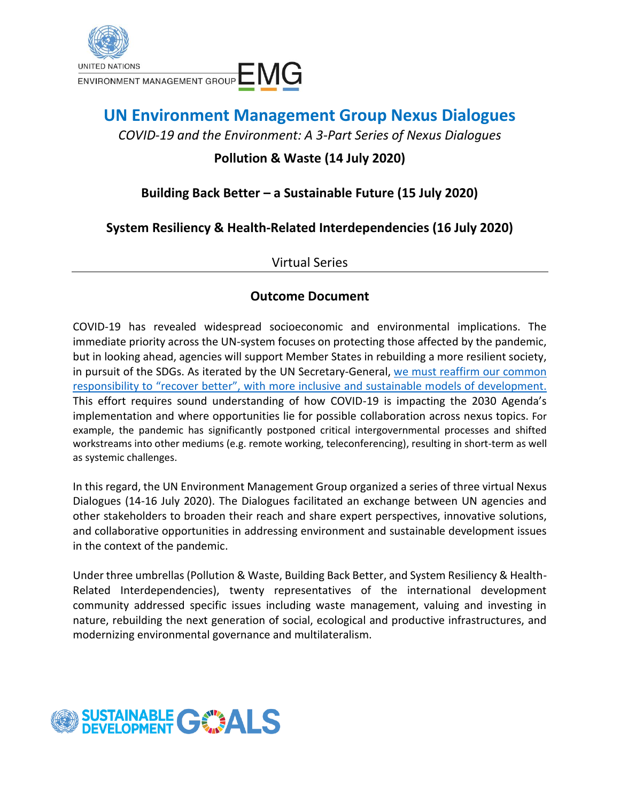

# **UN Environment Management Group Nexus Dialogues**

*COVID-19 and the Environment: A 3-Part Series of Nexus Dialogues*

## **Pollution & Waste (14 July 2020)**

## **Building Back Better – a Sustainable Future (15 July 2020)**

**System Resiliency & Health-Related Interdependencies (16 July 2020)**

Virtual Series

### **Outcome Document**

COVID-19 has revealed widespread socioeconomic and environmental implications. The immediate priority across the UN-system focuses on protecting those affected by the pandemic, but in looking ahead, agencies will support Member States in rebuilding a more resilient society, in pursuit of the SDGs. As iterated by the UN Secretary-General, [we must reaffirm our common](https://www.un.org/sites/un2.un.org/files/230320_sg_letter_g20_covid-19.pdf)  [responsibility to "recover better", with more inclusive and sustainable m](https://www.un.org/sites/un2.un.org/files/230320_sg_letter_g20_covid-19.pdf)odels of development. This effort requires sound understanding of how COVID-19 is impacting the 2030 Agenda's implementation and where opportunities lie for possible collaboration across nexus topics. For example, the pandemic has significantly postponed critical intergovernmental processes and shifted workstreams into other mediums (e.g. remote working, teleconferencing), resulting in short-term as well as systemic challenges.

In this regard, the UN Environment Management Group organized a series of three virtual Nexus Dialogues (14-16 July 2020). The Dialogues facilitated an exchange between UN agencies and other stakeholders to broaden their reach and share expert perspectives, innovative solutions, and collaborative opportunities in addressing environment and sustainable development issues in the context of the pandemic.

Under three umbrellas (Pollution & Waste, Building Back Better, and System Resiliency & Health-Related Interdependencies), twenty representatives of the international development community addressed specific issues including waste management, valuing and investing in nature, rebuilding the next generation of social, ecological and productive infrastructures, and modernizing environmental governance and multilateralism.

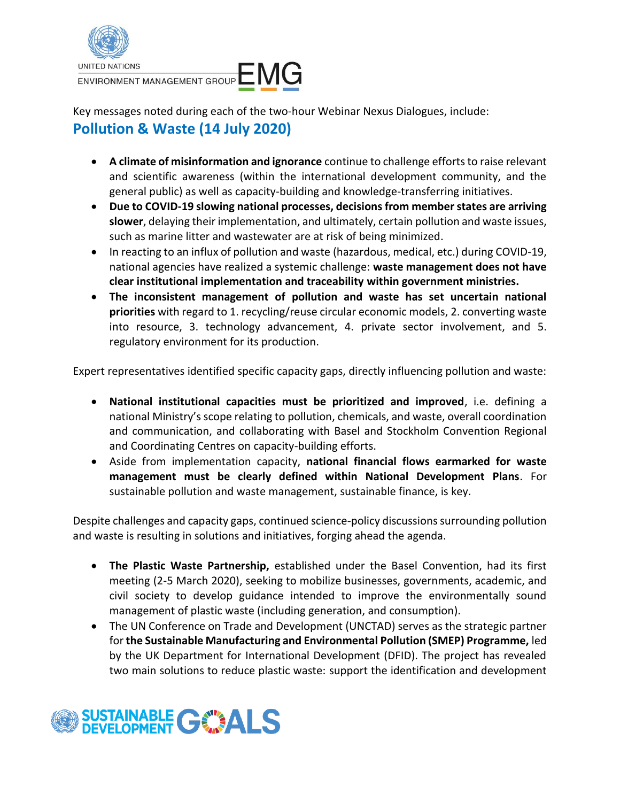

Key messages noted during each of the two-hour Webinar Nexus Dialogues, include: **Pollution & Waste (14 July 2020)**

- **A climate of misinformation and ignorance** continue to challenge efforts to raise relevant and scientific awareness (within the international development community, and the general public) as well as capacity-building and knowledge-transferring initiatives.
- **Due to COVID-19 slowing national processes, decisions from member states are arriving slower**, delaying their implementation, and ultimately, certain pollution and waste issues, such as marine litter and wastewater are at risk of being minimized.
- In reacting to an influx of pollution and waste (hazardous, medical, etc.) during COVID-19, national agencies have realized a systemic challenge: **waste management does not have clear institutional implementation and traceability within government ministries.**
- **The inconsistent management of pollution and waste has set uncertain national priorities** with regard to 1. recycling/reuse circular economic models, 2. converting waste into resource, 3. technology advancement, 4. private sector involvement, and 5. regulatory environment for its production.

Expert representatives identified specific capacity gaps, directly influencing pollution and waste:

- **National institutional capacities must be prioritized and improved**, i.e. defining a national Ministry's scope relating to pollution, chemicals, and waste, overall coordination and communication, and collaborating with Basel and Stockholm Convention Regional and Coordinating Centres on capacity-building efforts.
- Aside from implementation capacity, **national financial flows earmarked for waste management must be clearly defined within National Development Plans**. For sustainable pollution and waste management, sustainable finance, is key.

Despite challenges and capacity gaps, continued science-policy discussions surrounding pollution and waste is resulting in solutions and initiatives, forging ahead the agenda.

- **The Plastic Waste Partnership,** established under the Basel Convention, had its first meeting (2-5 March 2020), seeking to mobilize businesses, governments, academic, and civil society to develop guidance intended to improve the environmentally sound management of plastic waste (including generation, and consumption).
- The UN Conference on Trade and Development (UNCTAD) serves as the strategic partner for **the Sustainable Manufacturing and Environmental Pollution (SMEP) Programme,** led by the UK Department for International Development (DFID). The project has revealed two main solutions to reduce plastic waste: support the identification and development

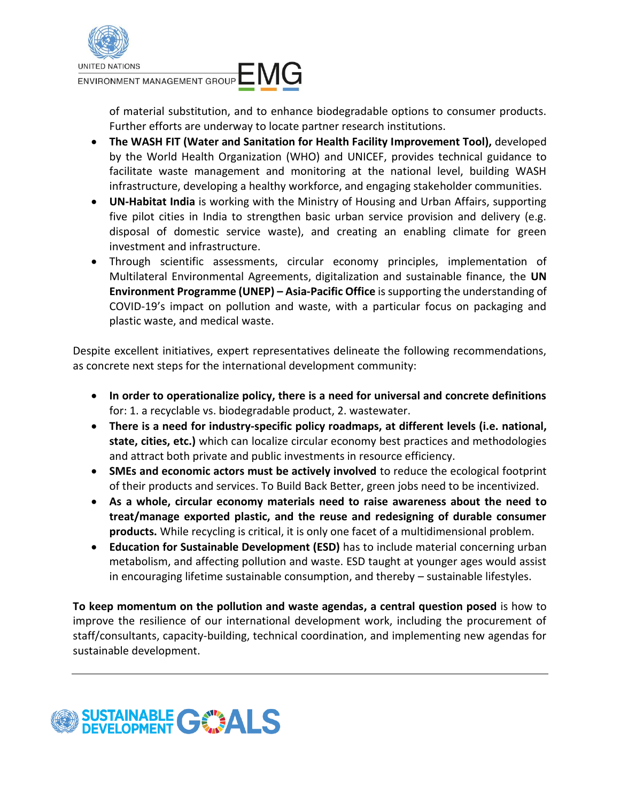

of material substitution, and to enhance biodegradable options to consumer products. Further efforts are underway to locate partner research institutions.

- **The WASH FIT (Water and Sanitation for Health Facility Improvement Tool),** developed by the World Health Organization (WHO) and UNICEF, provides technical guidance to facilitate waste management and monitoring at the national level, building WASH infrastructure, developing a healthy workforce, and engaging stakeholder communities.
- **UN-Habitat India** is working with the Ministry of Housing and Urban Affairs, supporting five pilot cities in India to strengthen basic urban service provision and delivery (e.g. disposal of domestic service waste), and creating an enabling climate for green investment and infrastructure.
- Through scientific assessments, circular economy principles, implementation of Multilateral Environmental Agreements, digitalization and sustainable finance, the **UN Environment Programme (UNEP) – Asia-Pacific Office** is supporting the understanding of COVID-19's impact on pollution and waste, with a particular focus on packaging and plastic waste, and medical waste.

Despite excellent initiatives, expert representatives delineate the following recommendations, as concrete next steps for the international development community:

- **In order to operationalize policy, there is a need for universal and concrete definitions** for: 1. a recyclable vs. biodegradable product, 2. wastewater.
- **There is a need for industry-specific policy roadmaps, at different levels (i.e. national, state, cities, etc.)** which can localize circular economy best practices and methodologies and attract both private and public investments in resource efficiency.
- **SMEs and economic actors must be actively involved** to reduce the ecological footprint of their products and services. To Build Back Better, green jobs need to be incentivized.
- **As a whole, circular economy materials need to raise awareness about the need to treat/manage exported plastic, and the reuse and redesigning of durable consumer products.** While recycling is critical, it is only one facet of a multidimensional problem.
- **Education for Sustainable Development (ESD)** has to include material concerning urban metabolism, and affecting pollution and waste. ESD taught at younger ages would assist in encouraging lifetime sustainable consumption, and thereby – sustainable lifestyles.

**To keep momentum on the pollution and waste agendas, a central question posed** is how to improve the resilience of our international development work, including the procurement of staff/consultants, capacity-building, technical coordination, and implementing new agendas for sustainable development.

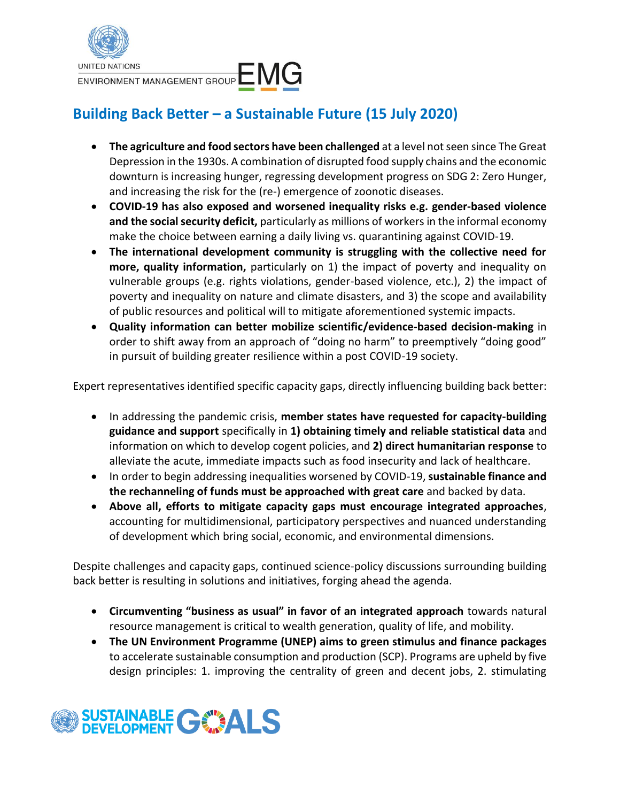

## **Building Back Better – a Sustainable Future (15 July 2020)**

- **The agriculture and food sectors have been challenged** at a level not seen since The Great Depression in the 1930s. A combination of disrupted food supply chains and the economic downturn is increasing hunger, regressing development progress on SDG 2: Zero Hunger, and increasing the risk for the (re-) emergence of zoonotic diseases.
- **COVID-19 has also exposed and worsened inequality risks e.g. gender-based violence and the social security deficit,** particularly as millions of workers in the informal economy make the choice between earning a daily living vs. quarantining against COVID-19.
- **The international development community is struggling with the collective need for more, quality information,** particularly on 1) the impact of poverty and inequality on vulnerable groups (e.g. rights violations, gender-based violence, etc.), 2) the impact of poverty and inequality on nature and climate disasters, and 3) the scope and availability of public resources and political will to mitigate aforementioned systemic impacts.
- **Quality information can better mobilize scientific/evidence-based decision-making** in order to shift away from an approach of "doing no harm" to preemptively "doing good" in pursuit of building greater resilience within a post COVID-19 society.

Expert representatives identified specific capacity gaps, directly influencing building back better:

- In addressing the pandemic crisis, **member states have requested for capacity-building guidance and support** specifically in **1) obtaining timely and reliable statistical data** and information on which to develop cogent policies, and **2) direct humanitarian response** to alleviate the acute, immediate impacts such as food insecurity and lack of healthcare.
- In order to begin addressing inequalities worsened by COVID-19, **sustainable finance and the rechanneling of funds must be approached with great care** and backed by data.
- **Above all, efforts to mitigate capacity gaps must encourage integrated approaches**, accounting for multidimensional, participatory perspectives and nuanced understanding of development which bring social, economic, and environmental dimensions.

Despite challenges and capacity gaps, continued science-policy discussions surrounding building back better is resulting in solutions and initiatives, forging ahead the agenda.

- **Circumventing "business as usual" in favor of an integrated approach** towards natural resource management is critical to wealth generation, quality of life, and mobility.
- **The UN Environment Programme (UNEP) aims to green stimulus and finance packages** to accelerate sustainable consumption and production (SCP). Programs are upheld by five design principles: 1. improving the centrality of green and decent jobs, 2. stimulating

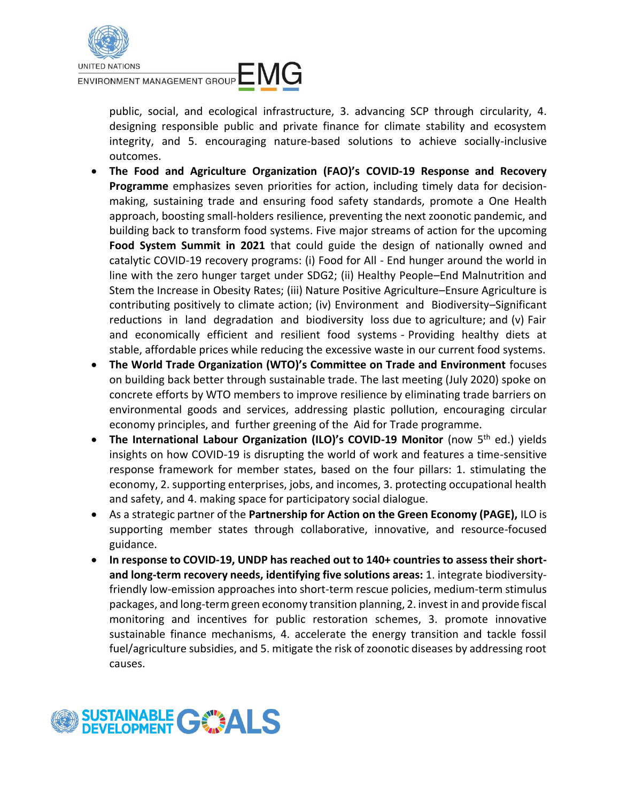

public, social, and ecological infrastructure, 3. advancing SCP through circularity, 4. designing responsible public and private finance for climate stability and ecosystem integrity, and 5. encouraging nature-based solutions to achieve socially-inclusive outcomes.

- **The Food and Agriculture Organization (FAO)'s COVID-19 Response and Recovery Programme** emphasizes seven priorities for action, including timely data for decisionmaking, sustaining trade and ensuring food safety standards, promote a One Health approach, boosting small-holders resilience, preventing the next zoonotic pandemic, and building back to transform food systems. Five major streams of action for the upcoming **Food System Summit in 2021** that could guide the design of nationally owned and catalytic COVID-19 recovery programs: (i) Food for All - End hunger around the world in line with the zero hunger target under SDG2; (ii) Healthy People–End Malnutrition and Stem the Increase in Obesity Rates; (iii) Nature Positive Agriculture–Ensure Agriculture is contributing positively to climate action; (iv) Environment and Biodiversity–Significant reductions in land degradation and biodiversity loss due to agriculture; and (v) Fair and economically efficient and resilient food systems - Providing healthy diets at stable, affordable prices while reducing the excessive waste in our current food systems.
- **The World Trade Organization (WTO)'s Committee on Trade and Environment** focuses on building back better through sustainable trade. The last meeting (July 2020) spoke on concrete efforts by WTO members to improve resilience by eliminating trade barriers on environmental goods and services, addressing plastic pollution, encouraging circular economy principles, and further greening of the Aid for Trade programme.
- The International Labour Organization (ILO)'s COVID-19 Monitor (now 5<sup>th</sup> ed.) yields insights on how COVID-19 is disrupting the world of work and features a time-sensitive response framework for member states, based on the four pillars: 1. stimulating the economy, 2. supporting enterprises, jobs, and incomes, 3. protecting occupational health and safety, and 4. making space for participatory social dialogue.
- As a strategic partner of the **Partnership for Action on the Green Economy (PAGE),** ILO is supporting member states through collaborative, innovative, and resource-focused guidance.
- **In response to COVID-19, UNDP has reached out to 140+ countries to assess their shortand long-term recovery needs, identifying five solutions areas:** 1. integrate biodiversityfriendly low-emission approaches into short-term rescue policies, medium-term stimulus packages, and long-term green economy transition planning, 2. invest in and provide fiscal monitoring and incentives for public restoration schemes, 3. promote innovative sustainable finance mechanisms, 4. accelerate the energy transition and tackle fossil fuel/agriculture subsidies, and 5. mitigate the risk of zoonotic diseases by addressing root causes.

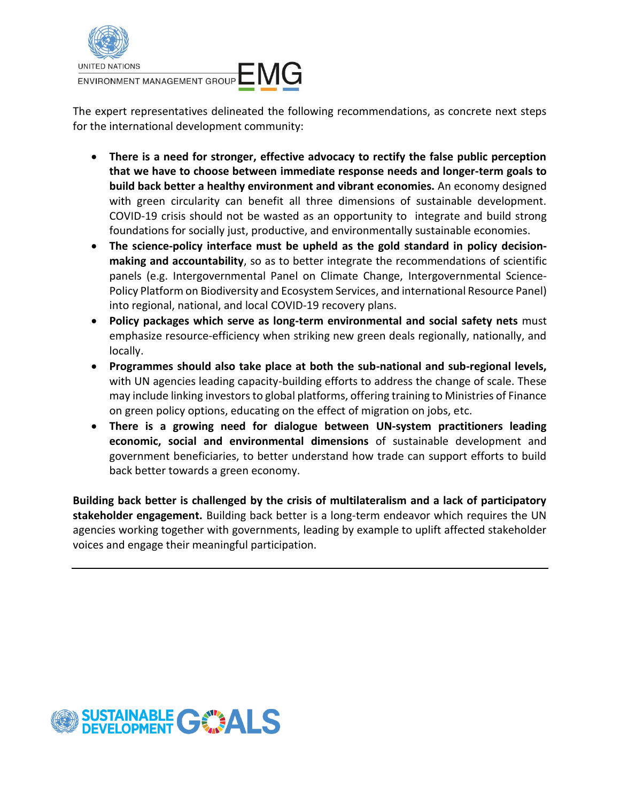

The expert representatives delineated the following recommendations, as concrete next steps for the international development community:

- **There is a need for stronger, effective advocacy to rectify the false public perception that we have to choose between immediate response needs and longer-term goals to build back better a healthy environment and vibrant economies.** An economy designed with green circularity can benefit all three dimensions of sustainable development. COVID-19 crisis should not be wasted as an opportunity to integrate and build strong foundations for socially just, productive, and environmentally sustainable economies.
- **The science-policy interface must be upheld as the gold standard in policy decisionmaking and accountability**, so as to better integrate the recommendations of scientific panels (e.g. Intergovernmental Panel on Climate Change, Intergovernmental Science-Policy Platform on Biodiversity and Ecosystem Services, and international Resource Panel) into regional, national, and local COVID-19 recovery plans.
- **Policy packages which serve as long-term environmental and social safety nets** must emphasize resource-efficiency when striking new green deals regionally, nationally, and locally.
- **Programmes should also take place at both the sub-national and sub-regional levels,** with UN agencies leading capacity-building efforts to address the change of scale. These may include linking investors to global platforms, offering training to Ministries of Finance on green policy options, educating on the effect of migration on jobs, etc.
- **There is a growing need for dialogue between UN-system practitioners leading economic, social and environmental dimensions** of sustainable development and government beneficiaries, to better understand how trade can support efforts to build back better towards a green economy.

**Building back better is challenged by the crisis of multilateralism and a lack of participatory stakeholder engagement.** Building back better is a long-term endeavor which requires the UN agencies working together with governments, leading by example to uplift affected stakeholder voices and engage their meaningful participation.

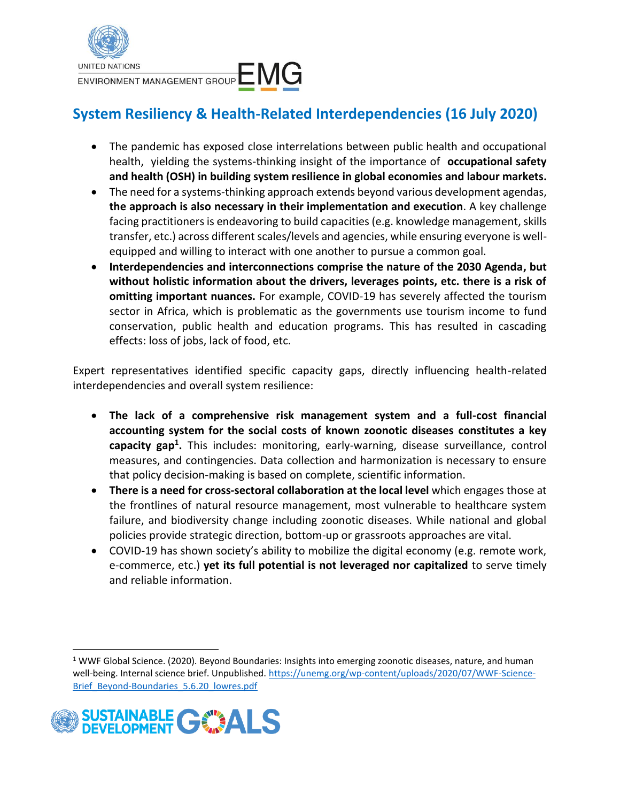

## **System Resiliency & Health-Related Interdependencies (16 July 2020)**

- The pandemic has exposed close interrelations between public health and occupational health, yielding the systems-thinking insight of the importance of **occupational safety and health (OSH) in building system resilience in global economies and labour markets.**
- The need for a systems-thinking approach extends beyond various development agendas, **the approach is also necessary in their implementation and execution**. A key challenge facing practitioners is endeavoring to build capacities (e.g. knowledge management, skills transfer, etc.) across different scales/levels and agencies, while ensuring everyone is wellequipped and willing to interact with one another to pursue a common goal.
- **Interdependencies and interconnections comprise the nature of the 2030 Agenda, but without holistic information about the drivers, leverages points, etc. there is a risk of omitting important nuances.** For example, COVID-19 has severely affected the tourism sector in Africa, which is problematic as the governments use tourism income to fund conservation, public health and education programs. This has resulted in cascading effects: loss of jobs, lack of food, etc.

Expert representatives identified specific capacity gaps, directly influencing health-related interdependencies and overall system resilience:

- **The lack of a comprehensive risk management system and a full-cost financial accounting system for the social costs of known zoonotic diseases constitutes a key capacity gap<sup>1</sup> .** This includes: monitoring, early-warning, disease surveillance, control measures, and contingencies. Data collection and harmonization is necessary to ensure that policy decision-making is based on complete, scientific information.
- **There is a need for cross-sectoral collaboration at the local level** which engages those at the frontlines of natural resource management, most vulnerable to healthcare system failure, and biodiversity change including zoonotic diseases. While national and global policies provide strategic direction, bottom-up or grassroots approaches are vital.
- COVID-19 has shown society's ability to mobilize the digital economy (e.g. remote work, e-commerce, etc.) **yet its full potential is not leveraged nor capitalized** to serve timely and reliable information.

 $1$  WWF Global Science. (2020). Beyond Boundaries: Insights into emerging zoonotic diseases, nature, and human well-being. Internal science brief. Unpublished. [https://unemg.org/wp-content/uploads/2020/07/WWF-Science-](https://unemg.org/wp-content/uploads/2020/07/WWF-Science-Brief_Beyond-Boundaries_5.6.20_lowres.pdf)[Brief\\_Beyond-Boundaries\\_5.6.20\\_lowres.pdf](https://unemg.org/wp-content/uploads/2020/07/WWF-Science-Brief_Beyond-Boundaries_5.6.20_lowres.pdf)

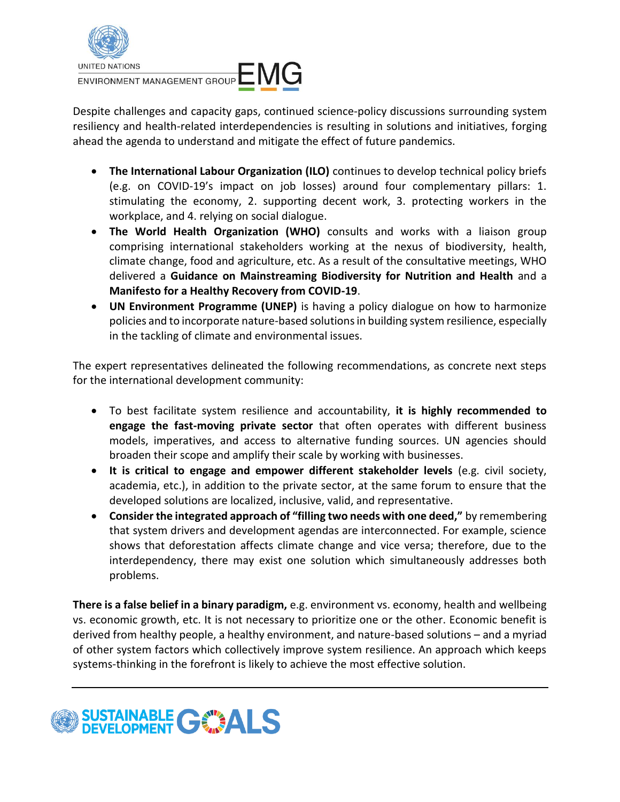

Despite challenges and capacity gaps, continued science-policy discussions surrounding system resiliency and health-related interdependencies is resulting in solutions and initiatives, forging ahead the agenda to understand and mitigate the effect of future pandemics.

- **The International Labour Organization (ILO)** continues to develop technical policy briefs (e.g. on COVID-19's impact on job losses) around four complementary pillars: 1. stimulating the economy, 2. supporting decent work, 3. protecting workers in the workplace, and 4. relying on social dialogue.
- **The World Health Organization (WHO)** consults and works with a liaison group comprising international stakeholders working at the nexus of biodiversity, health, climate change, food and agriculture, etc. As a result of the consultative meetings, WHO delivered a **Guidance on Mainstreaming Biodiversity for Nutrition and Health** and a **Manifesto for a Healthy Recovery from COVID-19**.
- **UN Environment Programme (UNEP)** is having a policy dialogue on how to harmonize policies and to incorporate nature-based solutions in building system resilience, especially in the tackling of climate and environmental issues.

The expert representatives delineated the following recommendations, as concrete next steps for the international development community:

- To best facilitate system resilience and accountability, **it is highly recommended to engage the fast-moving private sector** that often operates with different business models, imperatives, and access to alternative funding sources. UN agencies should broaden their scope and amplify their scale by working with businesses.
- **It is critical to engage and empower different stakeholder levels** (e.g. civil society, academia, etc.), in addition to the private sector, at the same forum to ensure that the developed solutions are localized, inclusive, valid, and representative.
- **Consider the integrated approach of "filling two needs with one deed,"** by remembering that system drivers and development agendas are interconnected. For example, science shows that deforestation affects climate change and vice versa; therefore, due to the interdependency, there may exist one solution which simultaneously addresses both problems.

**There is a false belief in a binary paradigm,** e.g. environment vs. economy, health and wellbeing vs. economic growth, etc. It is not necessary to prioritize one or the other. Economic benefit is derived from healthy people, a healthy environment, and nature-based solutions – and a myriad of other system factors which collectively improve system resilience. An approach which keeps systems-thinking in the forefront is likely to achieve the most effective solution.

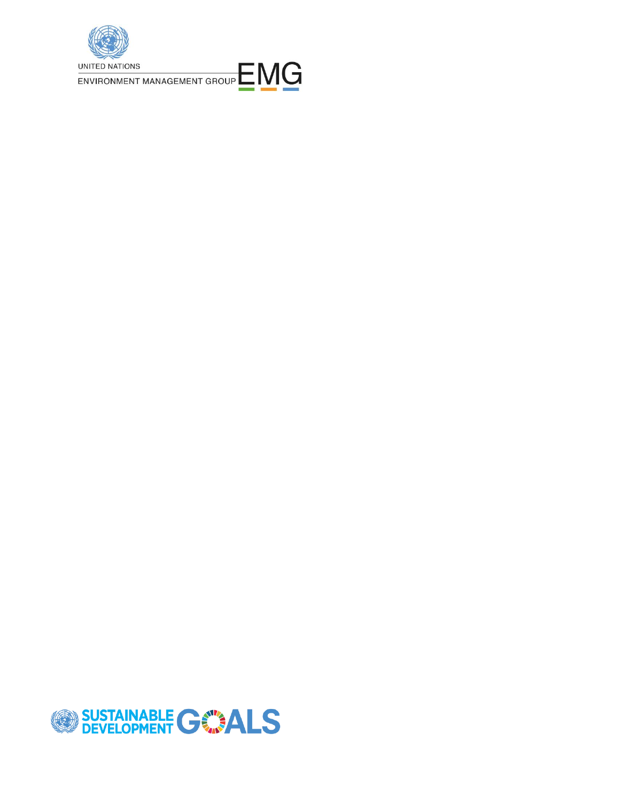